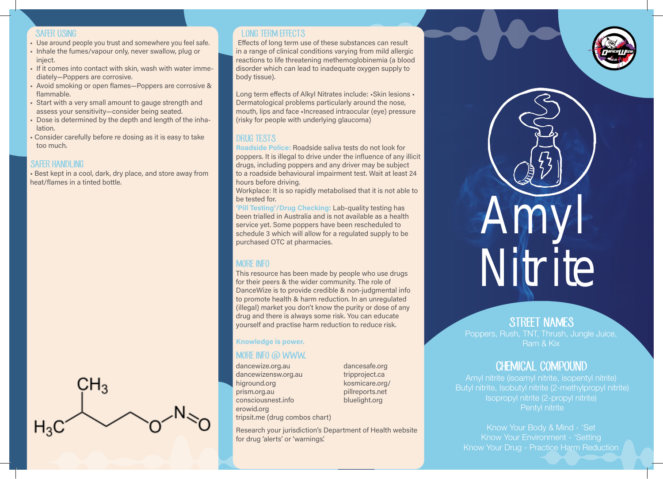#### SAFER USING

- Use around people you trust and somewhere you feel safe.
- Inhale the fumes/vapour only, never swallow, plug or inject. • If it comes into contact with skin, wash with water imme-
- diately—Poppers are corrosive.
- Avoid smoking or open flames—Poppers are corrosive & flammable.
- Start with a very small amount to gauge strength and assess your sensitivity—consider being seated.
- Dose is determined by the depth and length of the inhalation.
- Consider carefully before re dosing as it is easy to take too much.

### SAFFR HANDLING

• Best kept in a cool, dark, dry place, and store away from heat/flames in a tinted bottle.



### LONG TERM EFFECTS

 Effects of long term use of these substances can result in a range of clinical conditions varying from mild allergic reactions to life threatening methemoglobinemia (a blood disorder which can lead to inadequate oxygen supply to body tissue).

Long term effects of Alkyl Nitrates include: •Skin lesions • Dermatological problems particularly around the nose, mouth, lips and face •Increased intraocular (eye) pressure (risky for people with underlying glaucoma)

## DRUG TESTS

Roadside Police: Roadside saliva tests do not look for poppers. It is illegal to drive under the influence of any illicit drugs, including poppers and any driver may be subject to a roadside behavioural impairment test. Wait at least 24 hours before driving.

Workplace: It is so rapidly metabolised that it is not able to be tested for.

'Pill Testing'/Drug Checking: Lab-quality testing has been trialled in Australia and is not available as a health service yet. Some poppers have been rescheduled to schedule 3 which will allow for a regulated supply to be purchased OTC at pharmacies.

## MORE INFO

This resource has been made by people who use drugs for their peers & the wider community. The role of DanceWize is to provide credible & non-judgmental info to promote health & harm reduction. In an unregulated (illegal) market you don't know the purity or dose of any drug and there is always some risk. You can educate yourself and practise harm reduction to reduce risk.

Knowledge is power.

### MORE INFO @ WWW.

dancewize.org.au dancewizensw.org.au higround.org prism.org.au consciousnest.info erowid.org tripsit.me (drug combos chart) dancesafe.org tripproject.ca kosmicare.org/ pillreports.net bluelight.org

Research your jurisdiction's Department of Health website for drug 'alerts' or 'warnings'.



# STREET NAMES

Poppers, Rush, TNT, Thrush, Jungle Juice, Ram & Kix

# CHEMICAL COMPOUND

Amyl nitrite (isoamyl nitrite, isopentyl nitrite) Butyl nitrite, Isobutyl nitrite (2-methylpropyl nitrite) Isopropyl nitrite (2-propyl nitrite) Pentyl nitrite

Know Your Body & Mind - 'Set Know Your Environment - 'Setting Know Your Drug - Practice Harm Reduction